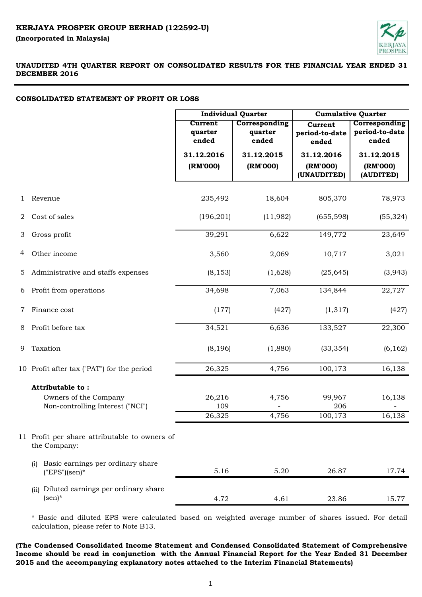

# **CONSOLIDATED STATEMENT OF PROFIT OR LOSS**

|   |                                                                               | <b>Individual Quarter</b>          |                                   | <b>Cumulative Quarter</b>                                                             |                                     |  |
|---|-------------------------------------------------------------------------------|------------------------------------|-----------------------------------|---------------------------------------------------------------------------------------|-------------------------------------|--|
|   |                                                                               | <b>Current</b><br>quarter<br>ended | Corresponding<br>quarter<br>ended | Corresponding<br><b>Current</b><br>period-to-date<br>period-to-date<br>ended<br>ended |                                     |  |
|   |                                                                               | 31.12.2016<br>(RM'000)             | 31.12.2015<br>(RM'000)            | 31.12.2016<br>(RM'000)<br>(UNAUDITED)                                                 | 31.12.2015<br>(RM'000)<br>(AUDITED) |  |
| 1 | Revenue                                                                       | 235,492                            | 18,604                            | 805,370                                                                               | 78,973                              |  |
| 2 | Cost of sales                                                                 | (196, 201)                         | (11,982)                          | (655, 598)                                                                            | (55, 324)                           |  |
| 3 | Gross profit                                                                  | 39,291                             | 6,622                             | 149,772                                                                               | 23,649                              |  |
| 4 | Other income                                                                  | 3,560                              | 2,069                             | 10,717                                                                                | 3,021                               |  |
| 5 | Administrative and staffs expenses                                            | (8, 153)                           | (1,628)                           | (25, 645)                                                                             | (3,943)                             |  |
| 6 | Profit from operations                                                        | 34,698                             | 7,063                             | 134,844                                                                               | 22,727                              |  |
| 7 | Finance cost                                                                  | (177)                              | (427)                             | (1,317)                                                                               | (427)                               |  |
| 8 | Profit before tax                                                             | 34,521                             | 6,636                             | 133,527                                                                               | 22,300                              |  |
| 9 | Taxation                                                                      | (8, 196)                           | (1,880)                           | (33, 354)                                                                             | (6, 162)                            |  |
|   | 10 Profit after tax ("PAT") for the period                                    | 26,325                             | 4,756                             | 100,173                                                                               | 16,138                              |  |
|   | Attributable to:<br>Owners of the Company<br>Non-controlling Interest ("NCI") | 26,216<br>109                      | 4,756                             | 99,967<br>206                                                                         | 16,138                              |  |
|   |                                                                               | 26,325                             | 4,756                             | 100,173                                                                               | 16,138                              |  |
|   | 11 Profit per share attributable to owners of<br>the Company:                 |                                    |                                   |                                                                                       |                                     |  |
|   | Basic earnings per ordinary share<br>(i)<br>$("EPS"(sen)*$                    | 5.16                               | 5.20                              | 26.87                                                                                 | 17.74                               |  |
|   | Diluted earnings per ordinary share<br>(ii)<br>$(\text{sen})^*$               | 4.72                               | 4.61                              | 23.86                                                                                 | 15.77                               |  |

\* Basic and diluted EPS were calculated based on weighted average number of shares issued. For detail calculation, please refer to Note B13.

**(The Condensed Consolidated Income Statement and Condensed Consolidated Statement of Comprehensive Income should be read in conjunction with the Annual Financial Report for the Year Ended 31 December 2015 and the accompanying explanatory notes attached to the Interim Financial Statements)**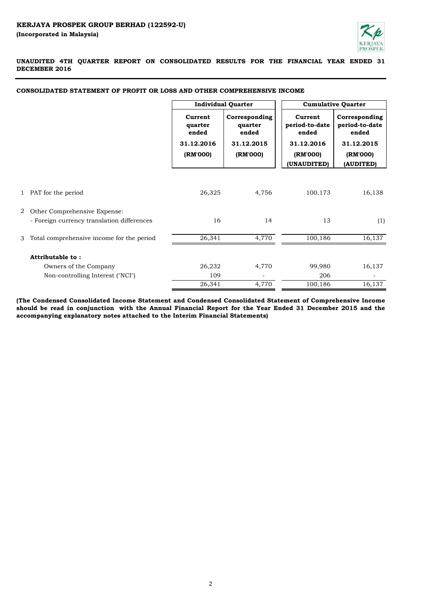

|              |                                            | <b>Individual Quarter</b>   |                                   | <b>Cumulative Quarter</b>          |                                          |  |
|--------------|--------------------------------------------|-----------------------------|-----------------------------------|------------------------------------|------------------------------------------|--|
|              |                                            | Current<br>quarter<br>ended | Corresponding<br>quarter<br>ended | Current<br>period-to-date<br>ended | Corresponding<br>period-to-date<br>ended |  |
|              |                                            | 31.12.2016                  | 31.12.2015                        | 31.12.2016                         | 31.12.2015                               |  |
|              |                                            | (RM'000)                    | (RM'000)                          | (RM'000)<br>(UNAUDITED)            | (RM'000)<br>(AUDITED)                    |  |
|              |                                            |                             |                                   |                                    |                                          |  |
| $\mathbf{1}$ | PAT for the period                         | 26,325                      | 4,756                             | 100,173                            | 16,138                                   |  |
| 2            | Other Comprehensive Expense:               |                             |                                   |                                    |                                          |  |
|              | - Foreign currency translation differences | 16                          | 14                                | 13                                 | (1)                                      |  |
| 3            | Total comprehensive income for the period  | 26,341                      | 4,770                             | 100,186                            | 16,137                                   |  |
|              | Attributable to:                           |                             |                                   |                                    |                                          |  |
|              | Owners of the Company                      | 26,232                      | 4,770                             | 99,980                             | 16,137                                   |  |
|              | Non-controlling Interest ("NCI")           | 109                         |                                   | 206                                |                                          |  |
|              |                                            | 26,341                      | 4,770                             | 100,186                            | 16,137                                   |  |

## **CONSOLIDATED STATEMENT OF PROFIT OR LOSS AND OTHER COMPREHENSIVE INCOME**

**(The Condensed Consolidated Income Statement and Condensed Consolidated Statement of Comprehensive Income** should be read in conjunction with the Annual Financial Report for the Year Ended 31 December 2015 and the **accompanying explanatory notes attached to the Interim Financial Statements)**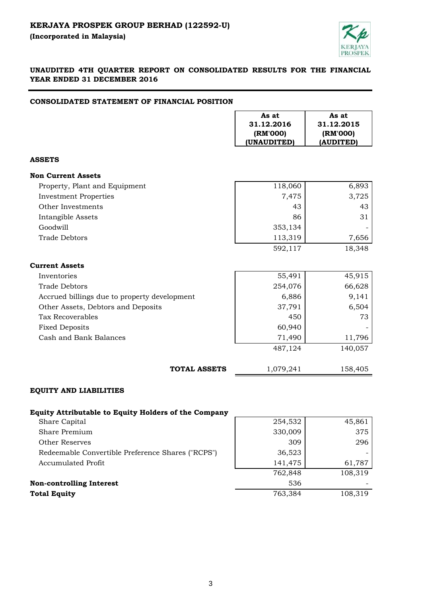**(Incorporated in Malaysia)** 



# **UNAUDITED 4TH QUARTER REPORT ON CONSOLIDATED RESULTS FOR THE FINANCIAL YEAR ENDED 31 DECEMBER 2016**

# **CONSOLIDATED STATEMENT OF FINANCIAL POSITION**

|                                                             | As at<br>31.12.2016<br>(RM'000)<br>(UNAUDITED) | As at<br>31.12.2015<br>(RM'000)<br>(AUDITED) |
|-------------------------------------------------------------|------------------------------------------------|----------------------------------------------|
| <b>ASSETS</b>                                               |                                                |                                              |
| <b>Non Current Assets</b>                                   |                                                |                                              |
| Property, Plant and Equipment                               | 118,060                                        | 6,893                                        |
| <b>Investment Properties</b>                                | 7,475                                          | 3,725                                        |
| Other Investments                                           | 43                                             | 43                                           |
| Intangible Assets                                           | 86                                             | 31                                           |
| Goodwill                                                    | 353,134                                        |                                              |
| <b>Trade Debtors</b>                                        | 113,319                                        | 7,656                                        |
|                                                             | 592,117                                        | 18,348                                       |
| <b>Current Assets</b>                                       |                                                |                                              |
| Inventories                                                 | 55,491                                         | 45,915                                       |
| <b>Trade Debtors</b>                                        | 254,076                                        | 66,628                                       |
| Accrued billings due to property development                | 6,886                                          | 9,141                                        |
| Other Assets, Debtors and Deposits                          | 37,791                                         | 6,504                                        |
| <b>Tax Recoverables</b>                                     | 450                                            | 73                                           |
| <b>Fixed Deposits</b>                                       | 60,940                                         |                                              |
| Cash and Bank Balances                                      | 71,490                                         | 11,796                                       |
|                                                             | 487,124                                        | 140,057                                      |
| <b>TOTAL ASSETS</b>                                         | 1,079,241                                      | 158,405                                      |
| <b>EQUITY AND LIABILITIES</b>                               |                                                |                                              |
| <b>Equity Attributable to Equity Holders of the Company</b> |                                                |                                              |
| Share Capital                                               | 254,532                                        | 45,861                                       |
| Share Premium                                               | 330,009                                        | 375                                          |
| <b>Other Reserves</b>                                       | 309                                            | 296                                          |

Redeemable Convertible Preference Shares Accumulated Profit

**Non-controlling Interest** 

**Total Equity** 

|              | 330,009 | 375     |
|--------------|---------|---------|
|              | 309     | 296     |
| res ("RCPS") | 36,523  |         |
|              | 141,475 | 61,787  |
|              | 762,848 | 108,319 |
|              | 536     |         |
|              | 763,384 | 108,319 |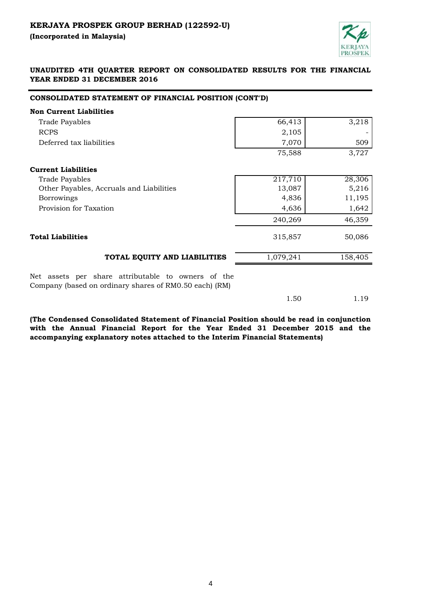**(Incorporated in Malaysia)** 



# **UNAUDITED 4TH QUARTER REPORT ON CONSOLIDATED RESULTS FOR THE FINANCIAL YEAR ENDED 31 DECEMBER 2016**

# **CONSOLIDATED STATEMENT OF FINANCIAL POSITION (CONT'D)**

| <b>Non Current Liabilities</b>                                                                               |           |         |
|--------------------------------------------------------------------------------------------------------------|-----------|---------|
| <b>Trade Payables</b>                                                                                        | 66,413    | 3,218   |
| <b>RCPS</b>                                                                                                  | 2,105     |         |
| Deferred tax liabilities                                                                                     | 7,070     | 509     |
|                                                                                                              | 75,588    | 3,727   |
| <b>Current Liabilities</b>                                                                                   |           |         |
| <b>Trade Payables</b>                                                                                        | 217,710   | 28,306  |
| Other Payables, Accruals and Liabilities                                                                     | 13,087    | 5,216   |
| <b>Borrowings</b>                                                                                            | 4,836     | 11,195  |
| Provision for Taxation                                                                                       | 4,636     | 1,642   |
|                                                                                                              | 240,269   | 46,359  |
| <b>Total Liabilities</b>                                                                                     | 315,857   | 50,086  |
| TOTAL EQUITY AND LIABILITIES                                                                                 | 1,079,241 | 158,405 |
| Net assets per share attributable to owners of the<br>Company (based on ordinary shares of RM0.50 each) (RM) |           |         |

1.50 1.19

**(The Condensed Consolidated Statement of Financial Position should be read in conjunction with the Annual Financial Report for the Year Ended 31 December 2015 and the accompanying explanatory notes attached to the Interim Financial Statements)**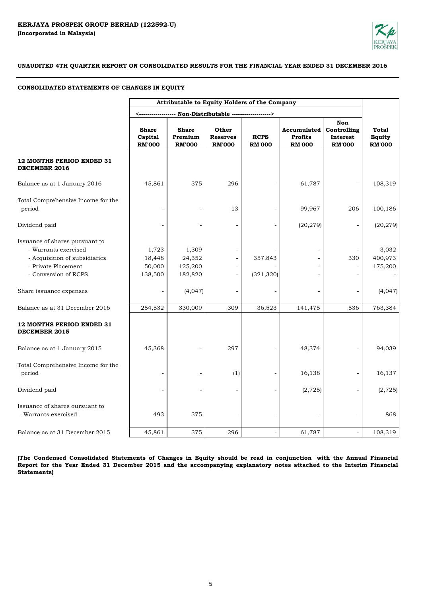

### **CONSOLIDATED STATEMENTS OF CHANGES IN EQUITY**

|                                                                                                                                        | Attributable to Equity Holders of the Company |                                          |                                           |                              |                                                |                                                 |                                  |
|----------------------------------------------------------------------------------------------------------------------------------------|-----------------------------------------------|------------------------------------------|-------------------------------------------|------------------------------|------------------------------------------------|-------------------------------------------------|----------------------------------|
|                                                                                                                                        |                                               |                                          |                                           |                              |                                                |                                                 |                                  |
|                                                                                                                                        | <b>Share</b><br>Capital<br><b>RM'000</b>      | <b>Share</b><br>Premium<br><b>RM'000</b> | Other<br><b>Reserves</b><br><b>RM'000</b> | <b>RCPS</b><br><b>RM'000</b> | Accumulated<br><b>Profits</b><br><b>RM'000</b> | Non<br>Controlling<br>Interest<br><b>RM'000</b> | Total<br>Equity<br><b>RM'000</b> |
| <b>12 MONTHS PERIOD ENDED 31</b><br>DECEMBER 2016                                                                                      |                                               |                                          |                                           |                              |                                                |                                                 |                                  |
| Balance as at 1 January 2016                                                                                                           | 45,861                                        | 375                                      | 296                                       |                              | 61,787                                         |                                                 | 108,319                          |
| Total Comprehensive Income for the<br>period                                                                                           | $\overline{\phantom{a}}$                      |                                          | 13                                        |                              | 99,967                                         | 206                                             | 100,186                          |
| Dividend paid                                                                                                                          |                                               |                                          |                                           |                              | (20, 279)                                      |                                                 | (20, 279)                        |
| Issuance of shares pursuant to<br>- Warrants exercised<br>- Acquisition of subsidiaries<br>- Private Placement<br>- Conversion of RCPS | 1,723<br>18,448<br>50,000<br>138,500          | 1,309<br>24,352<br>125,200<br>182,820    |                                           | 357,843<br>(321, 320)        |                                                | 330                                             | 3,032<br>400,973<br>175,200      |
| Share issuance expenses                                                                                                                | $\qquad \qquad \blacksquare$                  | (4,047)                                  |                                           |                              |                                                |                                                 | (4,047)                          |
| Balance as at 31 December 2016                                                                                                         | 254,532                                       | 330,009                                  | 309                                       | 36,523                       | 141,475                                        | 536                                             | 763,384                          |
| <b>12 MONTHS PERIOD ENDED 31</b><br><b>DECEMBER 2015</b>                                                                               |                                               |                                          |                                           |                              |                                                |                                                 |                                  |
| Balance as at 1 January 2015                                                                                                           | 45,368                                        |                                          | 297                                       |                              | 48,374                                         |                                                 | 94,039                           |
| Total Comprehensive Income for the<br>period                                                                                           | $\overline{\phantom{a}}$                      |                                          | (1)                                       | $\overline{\phantom{a}}$     | 16,138                                         |                                                 | 16,137                           |
| Dividend paid                                                                                                                          |                                               |                                          |                                           |                              | (2, 725)                                       |                                                 | (2, 725)                         |
| Issuance of shares oursuant to<br>-Warrants exercised                                                                                  | 493                                           | 375                                      |                                           |                              |                                                |                                                 | 868                              |
| Balance as at 31 December 2015                                                                                                         | 45,861                                        | 375                                      | 296                                       |                              | 61,787                                         |                                                 | 108,319                          |

(The Condensed Consolidated Statements of Changes in Equity should be read in conjunction with the Annual Financial Report for the Year Ended 31 December 2015 and the accompanying explanatory notes attached to the Interim Financial **Statements)**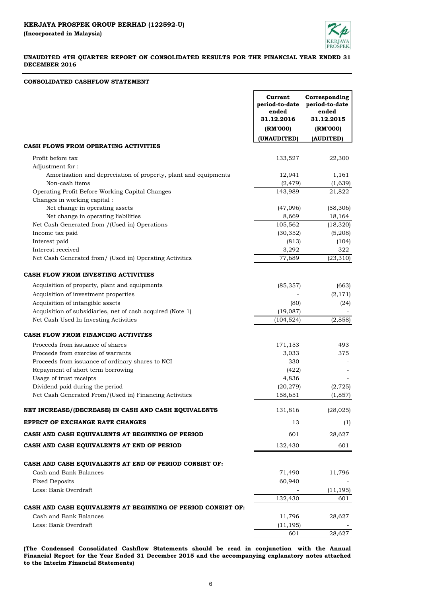

### **CONSOLIDATED CASHFLOW STATEMENT**

|                                                                                        | Current<br>period-to-date<br>ended<br>31.12.2016 | Corresponding<br>period-to-date<br>ended<br>31.12.2015 |
|----------------------------------------------------------------------------------------|--------------------------------------------------|--------------------------------------------------------|
|                                                                                        | (RM'000)                                         | (RM'000)                                               |
|                                                                                        | (UNAUDITED)                                      | (AUDITED)                                              |
| <b>CASH FLOWS FROM OPERATING ACTIVITIES</b>                                            |                                                  |                                                        |
| Profit before tax                                                                      | 133,527                                          | 22,300                                                 |
| Adjustment for:                                                                        |                                                  |                                                        |
| Amortisation and depreciation of property, plant and equipments                        | 12,941                                           | 1,161                                                  |
| Non-cash items                                                                         | (2, 479)                                         | (1,639)                                                |
| Operating Profit Before Working Capital Changes                                        | 143,989                                          | 21,822                                                 |
| Changes in working capital:                                                            |                                                  |                                                        |
| Net change in operating assets                                                         | (47,096)                                         | (58, 306)                                              |
| Net change in operating liabilities                                                    | 8,669<br>105,562                                 | 18,164                                                 |
| Net Cash Generated from /(Used in) Operations<br>Income tax paid                       | (30, 352)                                        | (18, 320)<br>(5,208)                                   |
| Interest paid                                                                          | (813)                                            | (104)                                                  |
| Interest received                                                                      | 3,292                                            | 322                                                    |
| Net Cash Generated from/ (Used in) Operating Activities                                | 77,689                                           | (23, 310)                                              |
|                                                                                        |                                                  |                                                        |
| CASH FLOW FROM INVESTING ACTIVITIES                                                    |                                                  |                                                        |
| Acquisition of property, plant and equipments                                          | (85, 357)                                        | (663)                                                  |
| Acquisition of investment properties                                                   |                                                  | (2, 171)                                               |
| Acquisition of intangible assets                                                       | (80)                                             | (24)                                                   |
| Acquisition of subsidiaries, net of cash acquired (Note 1)                             | (19,087)                                         |                                                        |
| Net Cash Used In Investing Activities                                                  | (104, 524)                                       | (2, 858)                                               |
|                                                                                        |                                                  |                                                        |
| CASH FLOW FROM FINANCING ACTIVITES                                                     |                                                  |                                                        |
| Proceeds from issuance of shares                                                       | 171,153                                          | 493                                                    |
| Proceeds from exercise of warrants<br>Proceeds from issuance of ordinary shares to NCI | 3,033<br>330                                     | 375                                                    |
| Repayment of short term borrowing                                                      | (422)                                            |                                                        |
| Usage of trust receipts                                                                | 4,836                                            |                                                        |
| Dividend paid during the period                                                        | (20, 279)                                        | (2, 725)                                               |
| Net Cash Generated From/(Used in) Financing Activities                                 | 158,651                                          | (1, 857)                                               |
| NET INCREASE/(DECREASE) IN CASH AND CASH EQUIVALENTS                                   | 131,816                                          | (28, 025)                                              |
| EFFECT OF EXCHANGE RATE CHANGES                                                        | 13                                               | (1)                                                    |
| CASH AND CASH EQUIVALENTS AT BEGINNING OF PERIOD                                       | 601                                              | 28,627                                                 |
| CASH AND CASH EQUIVALENTS AT END OF PERIOD                                             | 132,430                                          | 601                                                    |
|                                                                                        |                                                  |                                                        |
| CASH AND CASH EQUIVALENTS AT END OF PERIOD CONSIST OF:                                 |                                                  |                                                        |
| Cash and Bank Balances                                                                 | 71,490                                           | 11,796                                                 |
| <b>Fixed Deposits</b>                                                                  | 60,940                                           |                                                        |
| Less: Bank Overdraft                                                                   |                                                  | (11, 195)                                              |
|                                                                                        | 132,430                                          | 601                                                    |
| CASH AND CASH EQUIVALENTS AT BEGINNING OF PERIOD CONSIST OF:                           |                                                  |                                                        |
| Cash and Bank Balances                                                                 | 11,796                                           | 28,627                                                 |
| Less: Bank Overdraft                                                                   | (11, 195)                                        |                                                        |
|                                                                                        | 601                                              | 28,627                                                 |

**(The Condensed Consolidated Cashflow Statements should be read in conjunction with the Annual Financial Report for the Year Ended 31 December 2015 and the accompanying explanatory notes attached to the Interim Financial Statements)**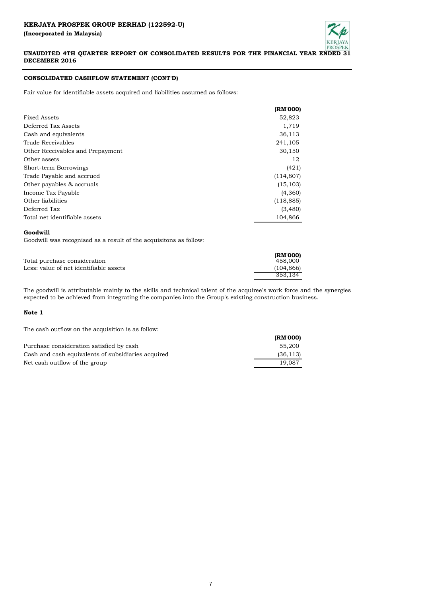

# **CONSOLIDATED CASHFLOW STATEMENT (CONT'D)**

Fair value for identifiable assets acquired and liabilities assumed as follows:

|                                  | (RM'000)   |
|----------------------------------|------------|
| Fixed Assets                     | 52,823     |
| Deferred Tax Assets              | 1,719      |
| Cash and equivalents             | 36,113     |
| Trade Receivables                | 241,105    |
| Other Receivables and Prepayment | 30,150     |
| Other assets                     | 12         |
| Short-term Borrowings            | (421)      |
| Trade Payable and accrued        | (114, 807) |
| Other payables & accruals        | (15, 103)  |
| Income Tax Payable               | (4,360)    |
| Other liabilities                | (118, 885) |
| Deferred Tax                     | (3,480)    |
| Total net identifiable assets    | 104,866    |

### **Goodwill**

Goodwill was recognised as a result of the acquisitons as follow:

|                                        | (RM'000)   |
|----------------------------------------|------------|
| Total purchase consideration           | 458.000    |
| Less: value of net identifiable assets | (104, 866) |
|                                        | 353.134    |

The goodwill is attributable mainly to the skills and technical talent of the acquiree's work force and the synergies expected to be achieved from integrating the companies into the Group's existing construction business.

### **Note 1**

The cash outflow on the acquisition is as follow:

|                                                    | (RM'000)  |
|----------------------------------------------------|-----------|
| Purchase consideration satisfied by cash           | 55.200    |
| Cash and cash equivalents of subsidiaries acquired | (36, 113) |
| Net cash outflow of the group                      | 19.087    |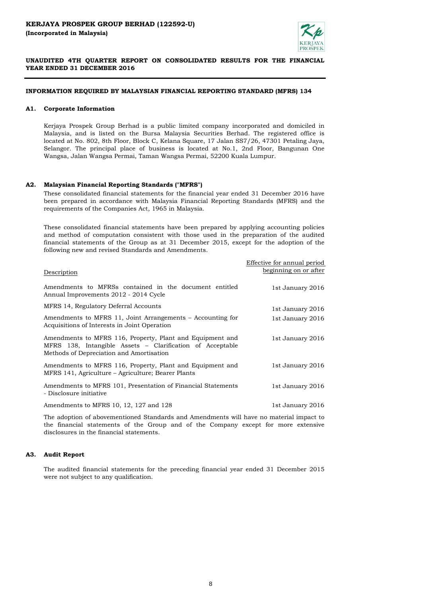

### **INFORMATION REQUIRED BY MALAYSIAN FINANCIAL REPORTING STANDARD (MFRS) 134**

### **A1. Corporate Information**

Kerjaya Prospek Group Berhad is a public limited company incorporated and domiciled in Malaysia, and is listed on the Bursa Malaysia Securities Berhad. The registered office is located at No. 802, 8th Floor, Block C, Kelana Square, 17 Jalan SS7/26, 47301 Petaling Jaya, Selangor. The principal place of business is located at No.1, 2nd Floor, Bangunan One Wangsa, Jalan Wangsa Permai, Taman Wangsa Permai, 52200 Kuala Lumpur.

### **A2. Malaysian Financial Reporting Standards ("MFRS")**

These consolidated financial statements for the financial year ended 31 December 2016 have been prepared in accordance with Malaysia Financial Reporting Standards (MFRS) and the requirements of the Companies Act, 1965 in Malaysia.

These consolidated financial statements have been prepared by applying accounting policies and method of computation consistent with those used in the preparation of the audited financial statements of the Group as at 31 December 2015, except for the adoption of the following new and revised Standards and Amendments.

|                                                                                                                                                                    | Effective for annual period |
|--------------------------------------------------------------------------------------------------------------------------------------------------------------------|-----------------------------|
| Description                                                                                                                                                        | beginning on or after       |
| Amendments to MFRSs contained in the document entitled<br>Annual Improvements 2012 - 2014 Cycle                                                                    | 1st January 2016            |
| MFRS 14, Regulatory Deferral Accounts                                                                                                                              | 1st January 2016            |
| Amendments to MFRS 11, Joint Arrangements – Accounting for<br>Acquisitions of Interests in Joint Operation                                                         | 1st January 2016            |
| Amendments to MFRS 116, Property, Plant and Equipment and<br>MFRS 138, Intangible Assets – Clarification of Acceptable<br>Methods of Depreciation and Amortisation | 1st January 2016            |
| Amendments to MFRS 116, Property, Plant and Equipment and<br>MFRS 141, Agriculture – Agriculture; Bearer Plants                                                    | 1st January 2016            |
| Amendments to MFRS 101, Presentation of Financial Statements<br>- Disclosure initiative                                                                            | 1st January 2016            |
| Amendments to MFRS 10, 12, 127 and 128                                                                                                                             | 1st January 2016            |
|                                                                                                                                                                    |                             |

The adoption of abovementioned Standards and Amendments will have no material impact to the financial statements of the Group and of the Company except for more extensive disclosures in the financial statements.

## **A3. Audit Report**

The audited financial statements for the preceding financial year ended 31 December 2015 were not subject to any qualification.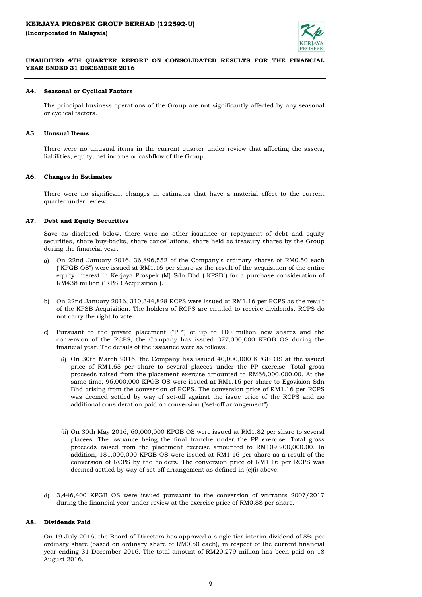

### **A4. Seasonal or Cyclical Factors**

The principal business operations of the Group are not significantly affected by any seasonal or cyclical factors.

#### **A5. Unusual Items**

There were no unusual items in the current quarter under review that affecting the assets, liabilities, equity, net income or cashflow of the Group.

#### **A6. Changes in Estimates**

There were no significant changes in estimates that have a material effect to the current quarter under review.

#### **A7. Debt and Equity Securities**

Save as disclosed below, there were no other issuance or repayment of debt and equity securities, share buy-backs, share cancellations, share held as treasury shares by the Group during the financial year.

- a) On 22nd January 2016, 36,896,552 of the Company's ordinary shares of RM0.50 each ("KPGB OS") were issued at RM1.16 per share as the result of the acquisition of the entire equity interest in Kerjaya Prospek (M) Sdn Bhd ("KPSB") for a purchase consideration of RM438 million ("KPSB Acquisition").
- b) On 22nd January 2016, 310,344,828 RCPS were issued at RM1.16 per RCPS as the result of the KPSB Acquisition. The holders of RCPS are entitled to receive dividends. RCPS do not carry the right to vote.
- c) Pursuant to the private placement ("PP") of up to 100 million new shares and the conversion of the RCPS, the Company has issued 377,000,000 KPGB OS during the financial year. The details of the issuance were as follows.
	- (i) On 30th March 2016, the Company has issued 40,000,000 KPGB OS at the issued price of RM1.65 per share to several placees under the PP exercise. Total gross proceeds raised from the placement exercise amounted to RM66,000,000.00. At the same time, 96,000,000 KPGB OS were issued at RM1.16 per share to Egovision Sdn Bhd arising from the conversion of RCPS. The conversion price of RM1.16 per RCPS was deemed settled by way of set-off against the issue price of the RCPS and no additional consideration paid on conversion ("set-off arrangement").
	- (ii) On 30th May 2016, 60,000,000 KPGB OS were issued at RM1.82 per share to several placees. The issuance being the final tranche under the PP exercise. Total gross proceeds raised from the placement exercise amounted to RM109,200,000.00. In addition, 181,000,000 KPGB OS were issued at RM1.16 per share as a result of the conversion of RCPS by the holders. The conversion price of RM1.16 per RCPS was deemed settled by way of set-off arrangement as defined in (c)(i) above.
- d) 3,446,400 KPGB OS were issued pursuant to the conversion of warrants 2007/2017 during the financial year under review at the exercise price of RM0.88 per share.

#### **A8. Dividends Paid**

On 19 July 2016, the Board of Directors has approved a single-tier interim dividend of 8% per ordinary share (based on ordinary share of RM0.50 each), in respect of the current financial year ending 31 December 2016. The total amount of RM20.279 million has been paid on 18 August 2016.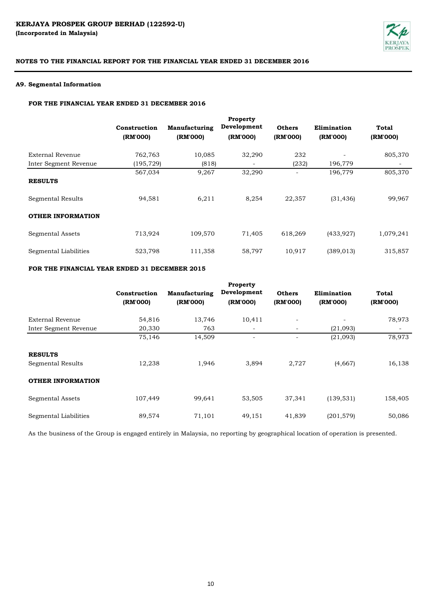

# **A9. Segmental Information**

## **FOR THE FINANCIAL YEAR ENDED 31 DECEMBER 2016**

|                          | Construction<br>(RM'000) | Manufacturing<br>(RM'000) | <b>Property</b><br>Development<br>(RM'000) | <b>Others</b><br>(RM'000) | Elimination<br>(RM'000) | Total<br>(RM'000) |
|--------------------------|--------------------------|---------------------------|--------------------------------------------|---------------------------|-------------------------|-------------------|
| External Revenue         | 762,763                  | 10,085                    | 32,290                                     | 232                       |                         | 805,370           |
| Inter Segment Revenue    | (195, 729)               | (818)                     |                                            | (232)                     | 196,779                 |                   |
| <b>RESULTS</b>           | 567,034                  | 9,267                     | 32,290                                     |                           | 196,779                 | 805,370           |
| Segmental Results        | 94,581                   | 6,211                     | 8,254                                      | 22,357                    | (31, 436)               | 99,967            |
| <b>OTHER INFORMATION</b> |                          |                           |                                            |                           |                         |                   |
| Segmental Assets         | 713,924                  | 109,570                   | 71,405                                     | 618,269                   | (433, 927)              | 1,079,241         |
| Segmental Liabilities    | 523,798                  | 111,358                   | 58,797                                     | 10,917                    | (389, 013)              | 315,857           |

# **FOR THE FINANCIAL YEAR ENDED 31 DECEMBER 2015**

|                          | Construction<br>(RM'000) | Manufacturing<br>(RM'000) | Property<br>Development<br>(RM'000) | <b>Others</b><br>(RM'000) | Elimination<br>(RM'000) | <b>Total</b><br>(RM'000) |
|--------------------------|--------------------------|---------------------------|-------------------------------------|---------------------------|-------------------------|--------------------------|
| <b>External Revenue</b>  | 54,816                   | 13,746                    | 10,411                              | $\qquad \qquad$           |                         | 78,973                   |
| Inter Segment Revenue    | 20,330                   | 763                       |                                     | $\overline{\phantom{a}}$  | (21,093)                |                          |
|                          | 75,146                   | 14,509                    |                                     |                           | (21,093)                | 78,973                   |
| <b>RESULTS</b>           |                          |                           |                                     |                           |                         |                          |
| Segmental Results        | 12,238                   | 1,946                     | 3,894                               | 2,727                     | (4,667)                 | 16,138                   |
| <b>OTHER INFORMATION</b> |                          |                           |                                     |                           |                         |                          |
| Segmental Assets         | 107,449                  | 99,641                    | 53,505                              | 37,341                    | (139, 531)              | 158,405                  |
| Segmental Liabilities    | 89,574                   | 71,101                    | 49,151                              | 41,839                    | (201, 579)              | 50,086                   |

As the business of the Group is engaged entirely in Malaysia, no reporting by geographical location of operation is presented.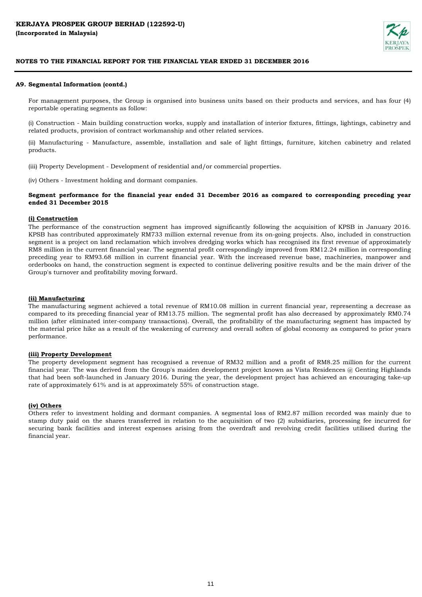

### **A9. Segmental Information (contd.)**

For management purposes, the Group is organised into business units based on their products and services, and has four (4) reportable operating segments as follow:

(i) Construction - Main building construction works, supply and installation of interior fixtures, fittings, lightings, cabinetry and related products, provision of contract workmanship and other related services.

(ii) Manufacturing - Manufacture, assemble, installation and sale of light fittings, furniture, kitchen cabinetry and related products.

(iii) Property Development - Development of residential and/or commercial properties.

(iv) Others - Investment holding and dormant companies.

## **Segment performance for the financial year ended 31 December 2016 as compared to corresponding preceding year ended 31 December 2015**

### **(i) Construction**

The performance of the construction segment has improved significantly following the acquisition of KPSB in January 2016. KPSB has contributed approximately RM733 million external revenue from its on-going projects. Also, included in construction segment is a project on land reclamation which involves dredging works which has recognised its first revenue of approximately RM8 million in the current financial year. The segmental profit correspondingly improved from RM12.24 million in corresponding preceding year to RM93.68 million in current financial year. With the increased revenue base, machineries, manpower and orderbooks on hand, the construction segment is expected to continue delivering positive results and be the main driver of the Group's turnover and profitability moving forward.

### **(ii) Manufacturing**

The manufacturing segment achieved a total revenue of RM10.08 million in current financial year, representing a decrease as compared to its preceding financial year of RM13.75 million. The segmental profit has also decreased by approximately RM0.74 million (after eliminated inter-company transactions). Overall, the profitability of the manufacturing segment has impacted by the material price hike as a result of the weakening of currency and overall soften of global economy as compared to prior years performance.

#### **(iii) Property Development**

The property development segment has recognised a revenue of RM32 million and a profit of RM8.25 million for the current financial year. The was derived from the Group's maiden development project known as Vista Residences @ Genting Highlands that had been soft-launched in January 2016. During the year, the development project has achieved an encouraging take-up rate of approximately 61% and is at approximately 55% of construction stage.

#### **(iv) Others**

Others refer to investment holding and dormant companies. A segmental loss of RM2.87 million recorded was mainly due to stamp duty paid on the shares transferred in relation to the acquisition of two (2) subsidiaries, processing fee incurred for securing bank facilities and interest expenses arising from the overdraft and revolving credit facilities utilised during the financial year.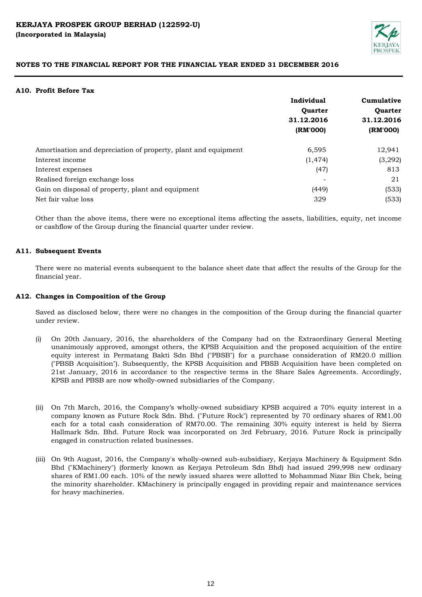

# **A10. Profit Before Tax**

|                                                                | Individual     | Cumulative<br><b>Ouarter</b> |  |
|----------------------------------------------------------------|----------------|------------------------------|--|
|                                                                | <b>Ouarter</b> |                              |  |
|                                                                | 31.12.2016     | 31.12.2016                   |  |
|                                                                | (RM'000)       | (RM'000)                     |  |
| Amortisation and depreciation of property, plant and equipment | 6,595          | 12,941                       |  |
| Interest income                                                | (1, 474)       | (3,292)                      |  |
| Interest expenses                                              | (47)           | 813                          |  |
| Realised foreign exchange loss                                 |                | 21                           |  |
| Gain on disposal of property, plant and equipment              | (449)          | (533)                        |  |
| Net fair value loss                                            | 329            | (533)                        |  |

Other than the above items, there were no exceptional items affecting the assets, liabilities, equity, net income or cashflow of the Group during the financial quarter under review.

# **A11. Subsequent Events**

There were no material events subsequent to the balance sheet date that affect the results of the Group for the financial year.

# **A12. Changes in Composition of the Group**

Saved as disclosed below, there were no changes in the composition of the Group during the financial quarter under review.

- (i) On 20th January, 2016, the shareholders of the Company had on the Extraordinary General Meeting unanimously approved, amongst others, the KPSB Acquisition and the proposed acquisition of the entire equity interest in Permatang Bakti Sdn Bhd ("PBSB") for a purchase consideration of RM20.0 million ("PBSB Acquisition"). Subsequently, the KPSB Acquisition and PBSB Acquisition have been completed on 21st January, 2016 in accordance to the respective terms in the Share Sales Agreements. Accordingly, KPSB and PBSB are now wholly-owned subsidiaries of the Company.
- (ii) On 7th March, 2016, the Company's wholly-owned subsidiary KPSB acquired a 70% equity interest in a company known as Future Rock Sdn. Bhd. ("Future Rock") represented by 70 ordinary shares of RM1.00 each for a total cash consideration of RM70.00. The remaining 30% equity interest is held by Sierra Hallmark Sdn. Bhd. Future Rock was incorporated on 3rd February, 2016. Future Rock is principally engaged in construction related businesses.
- (iii) On 9th August, 2016, the Company's wholly-owned sub-subsidiary, Kerjaya Machinery & Equipment Sdn Bhd ("KMachinery") (formerly known as Kerjaya Petroleum Sdn Bhd) had issued 299,998 new ordinary shares of RM1.00 each. 10% of the newly issued shares were allotted to Mohammad Nizar Bin Chek, being the minority shareholder. KMachinery is principally engaged in providing repair and maintenance services for heavy machineries.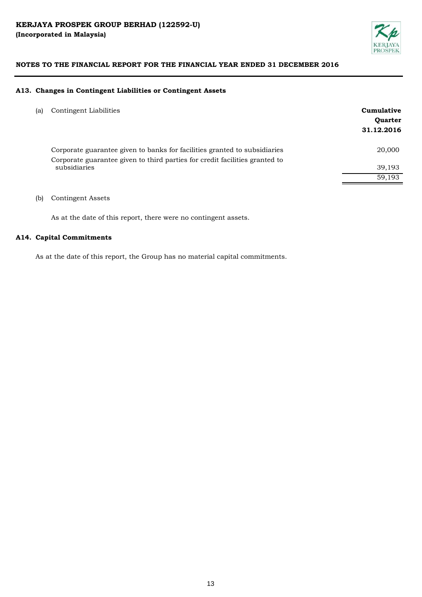

# **A13. Changes in Contingent Liabilities or Contingent Assets**

| (a) Contingent Liabilities<br>. | Cumulative |
|---------------------------------|------------|
|                                 |            |

|                                                                                             | <b>Ouarter</b><br>31.12.2016 |
|---------------------------------------------------------------------------------------------|------------------------------|
| Corporate guarantee given to banks for facilities granted to subsidiaries                   | 20,000                       |
| Corporate guarantee given to third parties for credit facilities granted to<br>subsidiaries | 39,193                       |
|                                                                                             | 59,193                       |
|                                                                                             |                              |

# (b) Contingent Assets

As at the date of this report, there were no contingent assets.

## **A14. Capital Commitments**

As at the date of this report, the Group has no material capital commitments.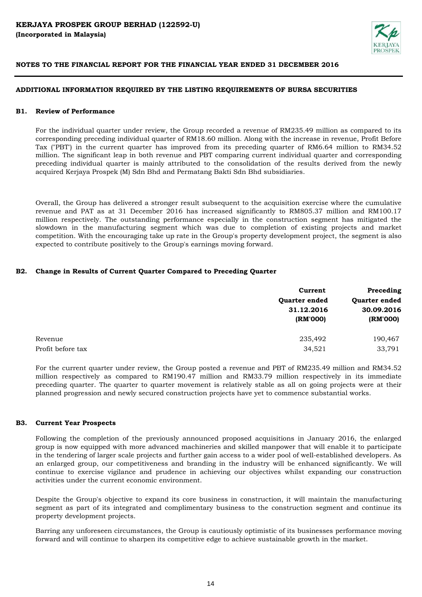

# **ADDITIONAL INFORMATION REQUIRED BY THE LISTING REQUIREMENTS OF BURSA SECURITIES**

# **B1. Review of Performance**

For the individual quarter under review, the Group recorded a revenue of RM235.49 million as compared to its corresponding preceding individual quarter of RM18.60 million. Along with the increase in revenue, Profit Before Tax ("PBT') in the current quarter has improved from its preceding quarter of RM6.64 million to RM34.52 million. The significant leap in both revenue and PBT comparing current individual quarter and corresponding preceding individual quarter is mainly attributed to the consolidation of the results derived from the newly acquired Kerjaya Prospek (M) Sdn Bhd and Permatang Bakti Sdn Bhd subsidiaries.

Overall, the Group has delivered a stronger result subsequent to the acquisition exercise where the cumulative revenue and PAT as at 31 December 2016 has increased significantly to RM805.37 million and RM100.17 million respectively. The outstanding performance especially in the construction segment has mitigated the slowdown in the manufacturing segment which was due to completion of existing projects and market competition. With the encouraging take up rate in the Group's property development project, the segment is also expected to contribute positively to the Group's earnings moving forward.

# **B2. Change in Results of Current Quarter Compared to Preceding Quarter**

|                   | Current       | Preceding<br>Quarter ended<br>30.09.2016 |  |
|-------------------|---------------|------------------------------------------|--|
|                   | Quarter ended |                                          |  |
|                   | 31.12.2016    |                                          |  |
|                   | (RM'000)      | (RM'000)                                 |  |
| Revenue           | 235,492       | 190,467                                  |  |
| Profit before tax | 34,521        | 33,791                                   |  |

For the current quarter under review, the Group posted a revenue and PBT of RM235.49 million and RM34.52 million respectively as compared to RM190.47 million and RM33.79 million respectively in its immediate preceding quarter. The quarter to quarter movement is relatively stable as all on going projects were at their planned progression and newly secured construction projects have yet to commence substantial works.

#### **B3. Current Year Prospects**

Following the completion of the previously announced proposed acquisitions in January 2016, the enlarged group is now equipped with more advanced machineries and skilled manpower that will enable it to participate in the tendering of larger scale projects and further gain access to a wider pool of well-established developers. As an enlarged group, our competitiveness and branding in the industry will be enhanced significantly. We will continue to exercise vigilance and prudence in achieving our objectives whilst expanding our construction activities under the current economic environment.

Despite the Group's objective to expand its core business in construction, it will maintain the manufacturing segment as part of its integrated and complimentary business to the construction segment and continue its property development projects.

Barring any unforeseen circumstances, the Group is cautiously optimistic of its businesses performance moving forward and will continue to sharpen its competitive edge to achieve sustainable growth in the market.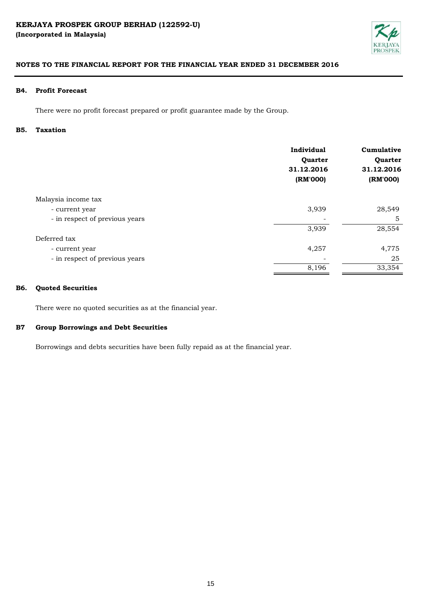

# **B4. Profit Forecast**

There were no profit forecast prepared or profit guarantee made by the Group.

#### **B5. Taxation**

|                                | Individual<br>Quarter<br>31.12.2016<br>(RM'000) | Cumulative<br>Quarter<br>31.12.2016<br>(RM'000) |
|--------------------------------|-------------------------------------------------|-------------------------------------------------|
| Malaysia income tax            |                                                 |                                                 |
| - current year                 | 3,939                                           | 28,549                                          |
| - in respect of previous years |                                                 | 5                                               |
|                                | 3,939                                           | 28,554                                          |
| Deferred tax                   |                                                 |                                                 |
| - current year                 | 4,257                                           | 4,775                                           |
| - in respect of previous years |                                                 | 25                                              |
|                                | 8,196                                           | 33,354                                          |

#### **B6. Quoted Securities**

There were no quoted securities as at the financial year.

#### **B7 Group Borrowings and Debt Securities**

Borrowings and debts securities have been fully repaid as at the financial year.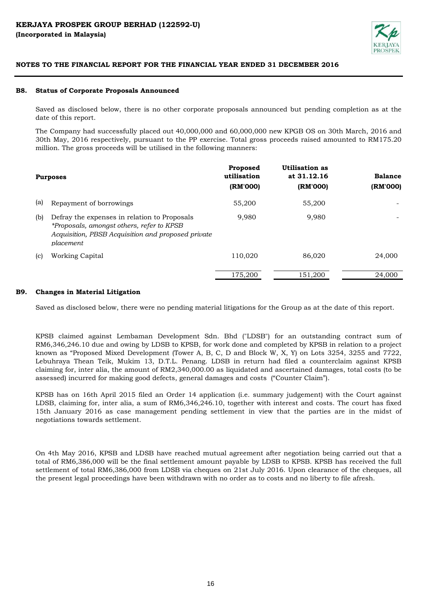

#### **B8. Status of Corporate Proposals Announced**

Saved as disclosed below, there is no other corporate proposals announced but pending completion as at the date of this report.

The Company had successfully placed out 40,000,000 and 60,000,000 new KPGB OS on 30th March, 2016 and 30th May, 2016 respectively, pursuant to the PP exercise. Total gross proceeds raised amounted to RM175.20 million. The gross proceeds will be utilised in the following manners:

|     | <b>Purposes</b>                                                                                                                                                     | Proposed<br>utilisation<br>(RM'000) | Utilisation as<br>at 31.12.16<br>(RM'000) | <b>Balance</b><br>(RM'000) |
|-----|---------------------------------------------------------------------------------------------------------------------------------------------------------------------|-------------------------------------|-------------------------------------------|----------------------------|
| (a) | Repayment of borrowings                                                                                                                                             | 55,200                              | 55,200                                    |                            |
| (b) | Defray the expenses in relation to Proposals<br>*Proposals, amongst others, refer to KPSB<br>Acquisition, PBSB Acquisition and proposed private<br><i>placement</i> | 9.980                               | 9.980                                     |                            |
| (c) | Working Capital                                                                                                                                                     | 110,020                             | 86,020                                    | 24,000                     |
|     |                                                                                                                                                                     | 175,200                             | 151.200                                   | 24,000                     |

#### **B9. Changes in Material Litigation**

Saved as disclosed below, there were no pending material litigations for the Group as at the date of this report.

KPSB claimed against Lembaman Development Sdn. Bhd ("LDSB") for an outstanding contract sum of RM6,346,246.10 due and owing by LDSB to KPSB, for work done and completed by KPSB in relation to a project known as "Proposed Mixed Development (Tower A, B, C, D and Block W, X, Y) on Lots 3254, 3255 and 7722, Lebuhraya Thean Teik, Mukim 13, D.T.L. Penang. LDSB in return had filed a counterclaim against KPSB claiming for, inter alia, the amount of RM2,340,000.00 as liquidated and ascertained damages, total costs (to be assessed) incurred for making good defects, general damages and costs ("Counter Claim").

KPSB has on 16th April 2015 filed an Order 14 application (i.e. summary judgement) with the Court against LDSB, claiming for, inter alia, a sum of RM6,346,246.10, together with interest and costs. The court has fixed 15th January 2016 as case management pending settlement in view that the parties are in the midst of negotiations towards settlement.

On 4th May 2016, KPSB and LDSB have reached mutual agreement after negotiation being carried out that a total of RM6,386,000 will be the final settlement amount payable by LDSB to KPSB. KPSB has received the full settlement of total RM6,386,000 from LDSB via cheques on 21st July 2016. Upon clearance of the cheques, all the present legal proceedings have been withdrawn with no order as to costs and no liberty to file afresh.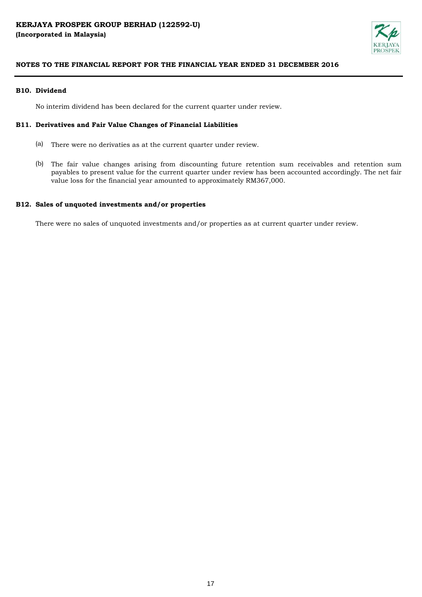

# **B10. Dividend**

No interim dividend has been declared for the current quarter under review.

# **B11. Derivatives and Fair Value Changes of Financial Liabilities**

- (a) There were no derivaties as at the current quarter under review.
- (b) The fair value changes arising from discounting future retention sum receivables and retention sum payables to present value for the current quarter under review has been accounted accordingly. The net fair value loss for the financial year amounted to approximately RM367,000.

# **B12. Sales of unquoted investments and/or properties**

There were no sales of unquoted investments and/or properties as at current quarter under review.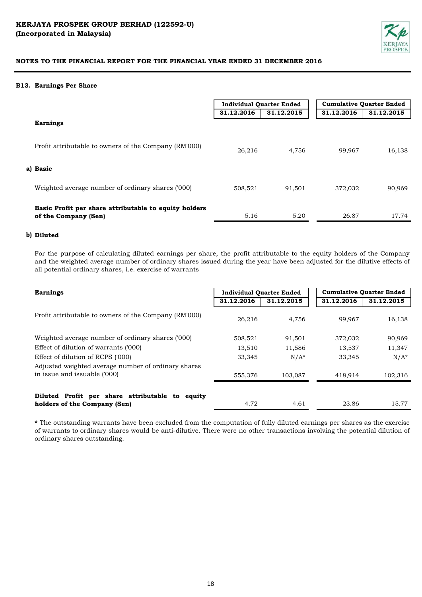

## **B13. Earnings Per Share**

|                                                                               | <b>Individual Quarter Ended</b> |            | <b>Cumulative Quarter Ended</b> |            |
|-------------------------------------------------------------------------------|---------------------------------|------------|---------------------------------|------------|
|                                                                               | 31.12.2016                      | 31.12.2015 | 31.12.2016                      | 31.12.2015 |
| <b>Earnings</b>                                                               |                                 |            |                                 |            |
| Profit attributable to owners of the Company (RM'000)                         | 26,216                          | 4,756      | 99,967                          | 16,138     |
| a) Basic                                                                      |                                 |            |                                 |            |
| Weighted average number of ordinary shares ('000)                             | 508,521                         | 91,501     | 372,032                         | 90,969     |
| Basic Profit per share attributable to equity holders<br>of the Company (Sen) | 5.16                            | 5.20       | 26.87                           | 17.74      |

## **b) Diluted**

For the purpose of calculating diluted earnings per share, the profit attributable to the equity holders of the Company and the weighted average number of ordinary shares issued during the year have been adjusted for the dilutive effects of all potential ordinary shares, i.e. exercise of warrants

| <b>Earnings</b>                                                                     | <b>Individual Quarter Ended</b> |            | <b>Cumulative Quarter Ended</b> |            |
|-------------------------------------------------------------------------------------|---------------------------------|------------|---------------------------------|------------|
|                                                                                     | 31.12.2016                      | 31.12.2015 | 31.12.2016                      | 31.12.2015 |
| Profit attributable to owners of the Company (RM'000)                               | 26,216                          | 4,756      | 99.967                          | 16,138     |
| Weighted average number of ordinary shares ('000)                                   | 508,521                         | 91,501     | 372,032                         | 90,969     |
| Effect of dilution of warrants ('000)                                               | 13,510                          | 11,586     | 13,537                          | 11,347     |
| Effect of dilution of RCPS ('000)                                                   | 33,345                          | $N/A^*$    | 33,345                          | $N/A^*$    |
| Adjusted weighted average number of ordinary shares<br>in issue and issuable ('000) | 555,376                         | 103.087    | 418,914                         | 102,316    |
| Diluted Profit per share attributable to equity<br>holders of the Company (Sen)     | 4.72                            | 4.61       | 23.86                           | 15.77      |

**\*** The outstanding warrants have been excluded from the computation of fully diluted earnings per shares as the exercise of warrants to ordinary shares would be anti-dilutive. There were no other transactions involving the potential dilution of ordinary shares outstanding.